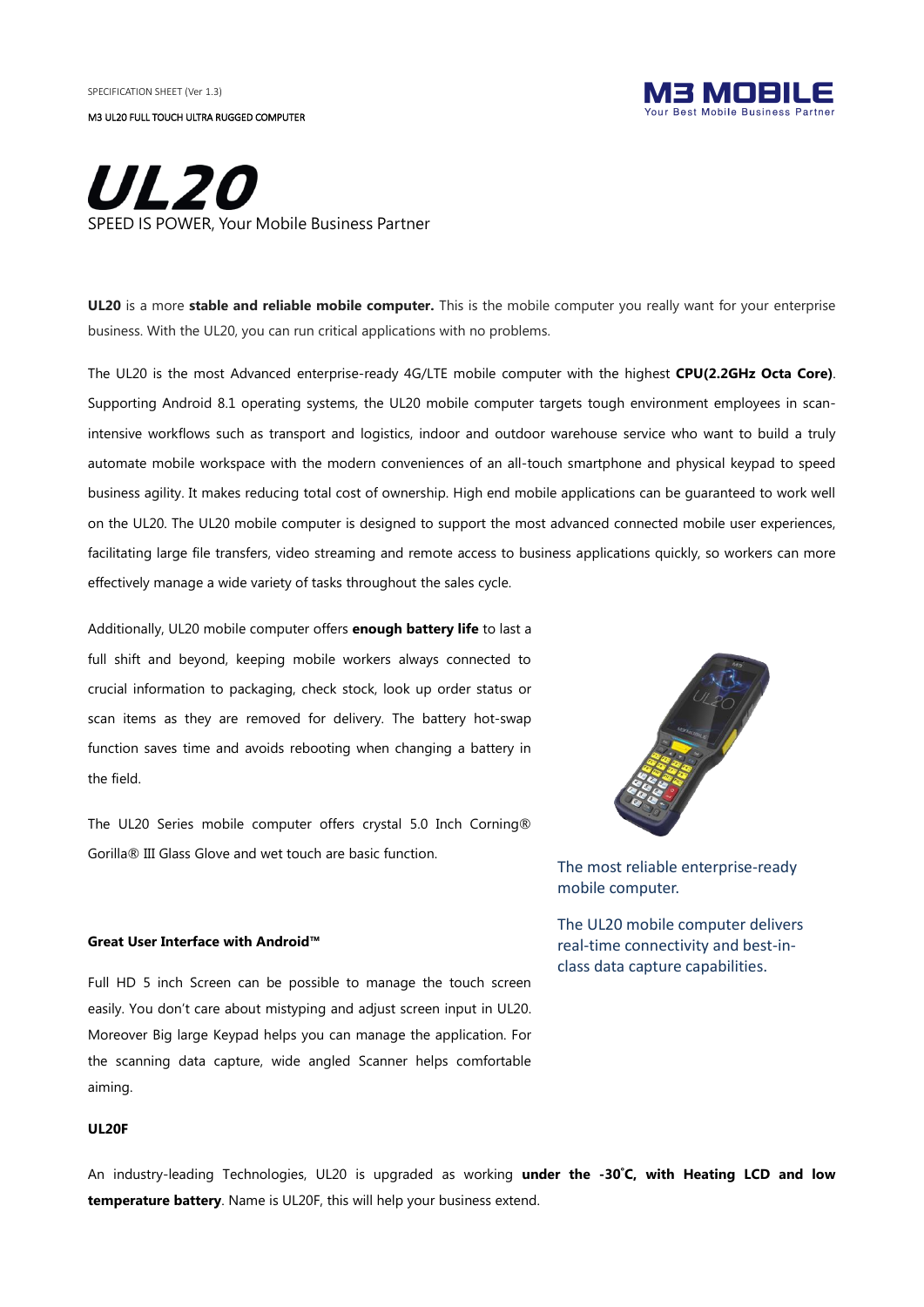SPECIFICATION SHEFT (Ver 1.3)

M3 UL20 FULL TOUCH ULTRA RUGGED COMPUTER



# *UL20* **IS POWER, Your Mobile Business Partner**

**UL20** is a more **stable and reliable mobile computer.** This is the mobile computer you really want for your enterprise business. With the UL20, you can run critical applications with no problems.

The UL20 is the most Advanced enterprise-ready 4G/LTE mobile computer with the highest **CPU(2.2GHz Octa Core)**. Supporting Android 8.1 operating systems, the UL20 mobile computer targets tough environment employees in scanintensive workflows such as transport and logistics, indoor and outdoor warehouse service who want to build a truly automate mobile workspace with the modern conveniences of an all-touch smartphone and physical keypad to speed business agility. It makes reducing total cost of ownership. High end mobile applications can be guaranteed to work well on the UL20. The UL20 mobile computer is designed to support the most advanced connected mobile user experiences, facilitating large file transfers, video streaming and remote access to business applications quickly, so workers can more effectively manage a wide variety of tasks throughout the sales cycle.

Additionally, UL20 mobile computer offers **enough battery life** to last a full shift and beyond, keeping mobile workers always connected to crucial information to packaging, check stock, look up order status or scan items as they are removed for delivery. The battery hot-swap function saves time and avoids rebooting when changing a battery in the field.

The UL20 Series mobile computer offers crystal 5.0 Inch Corning® Gorilla® III Glass Glove and wet touch are basic function.

#### **Great User Interface with Android™**

Full HD 5 inch Screen can be possible to manage the touch screen easily. You don't care about mistyping and adjust screen input in UL20. Moreover Big large Keypad helps you can manage the application. For the scanning data capture, wide angled Scanner helps comfortable aiming.

#### **UL20F**

An industry-leading Technologies, UL20 is upgraded as working **under the -30**˚**C, with Heating LCD and low temperature battery**. Name is UL20F, this will help your business extend.



The most reliable enterprise-ready mobile computer.

The UL20 mobile computer delivers real-time connectivity and best-inclass data capture capabilities.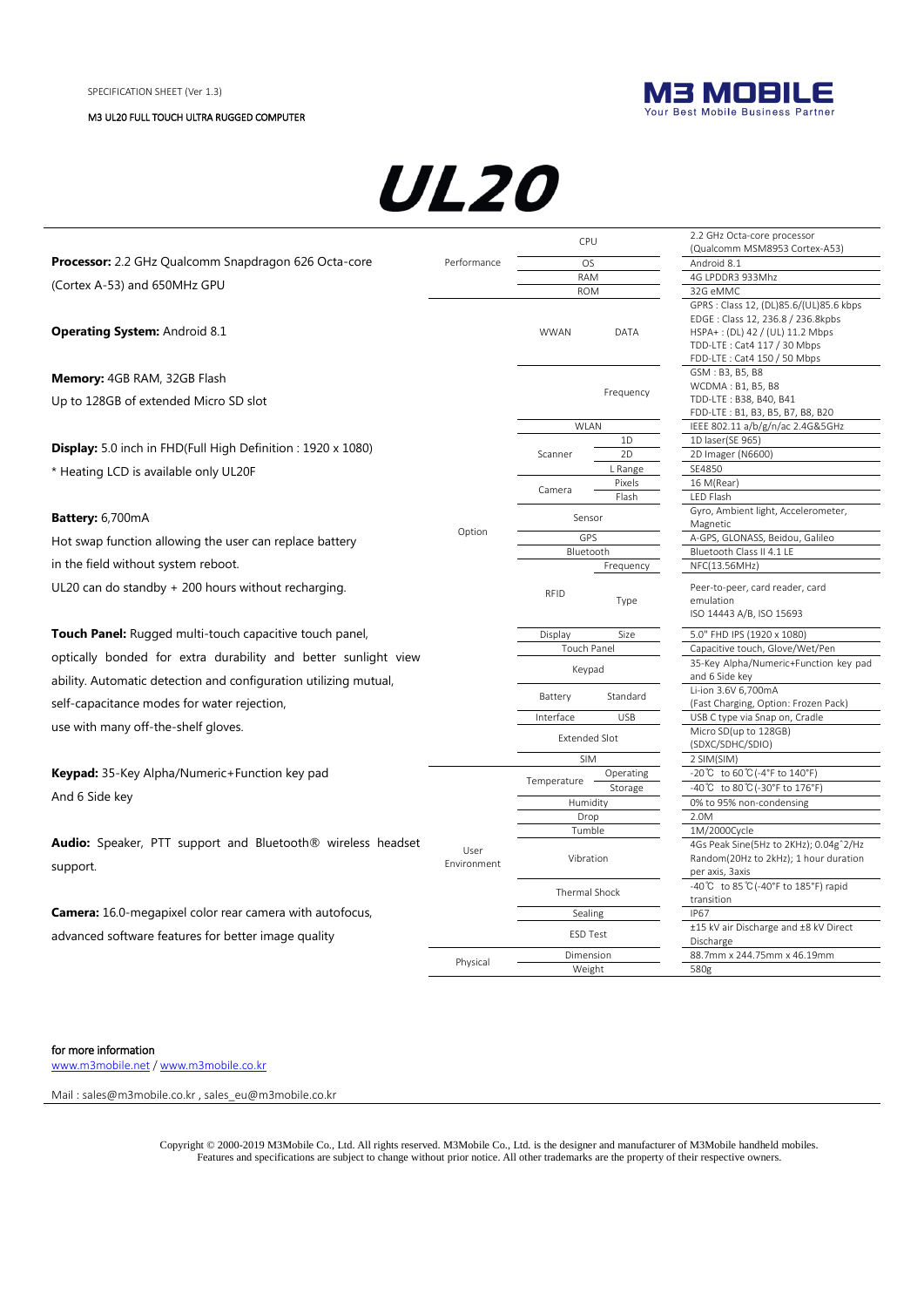

# **UL20**

|                                                                                                                                    |                     | CPU                                   |                   | 2.2 GHz Octa-core processor                                                                                                                                                   |
|------------------------------------------------------------------------------------------------------------------------------------|---------------------|---------------------------------------|-------------------|-------------------------------------------------------------------------------------------------------------------------------------------------------------------------------|
| <b>Processor:</b> 2.2 GHz Qualcomm Snapdragon 626 Octa-core                                                                        | Performance         |                                       |                   | (Qualcomm MSM8953 Cortex-A53)<br>Android 8.1                                                                                                                                  |
|                                                                                                                                    |                     | <b>OS</b><br><b>RAM</b>               |                   | 4G LPDDR3 933Mhz                                                                                                                                                              |
| (Cortex A-53) and 650MHz GPU                                                                                                       |                     | <b>ROM</b>                            |                   | 32G eMMC                                                                                                                                                                      |
| <b>Operating System: Android 8.1</b>                                                                                               |                     | <b>WWAN</b>                           | <b>DATA</b>       | GPRS : Class 12, (DL)85.6/(UL)85.6 kbps<br>EDGE: Class 12, 236.8 / 236.8kpbs<br>HSPA+: (DL) 42 / (UL) 11.2 Mbps<br>TDD-LTE: Cat4 117 / 30 Mbps<br>FDD-LTE: Cat4 150 / 50 Mbps |
| <b>Memory:</b> 4GB RAM, 32GB Flash                                                                                                 |                     |                                       |                   | GSM: B3, B5, B8                                                                                                                                                               |
| Up to 128GB of extended Micro SD slot                                                                                              |                     | Frequency                             |                   | WCDMA: B1, B5, B8<br>TDD-LTE: B38, B40, B41                                                                                                                                   |
|                                                                                                                                    |                     |                                       |                   | FDD-LTE: B1, B3, B5, B7, B8, B20                                                                                                                                              |
|                                                                                                                                    |                     | WLAN                                  |                   | IEEE 802.11 a/b/g/n/ac 2.4G&5GHz                                                                                                                                              |
| <b>Display:</b> 5.0 inch in FHD(Full High Definition : 1920 x 1080)                                                                |                     |                                       | 1D                | 1D laser(SE 965)                                                                                                                                                              |
|                                                                                                                                    |                     | Scanner                               | 2D                | 2D Imager (N6600)                                                                                                                                                             |
| * Heating LCD is available only UL20F                                                                                              |                     |                                       | L Range<br>Pixels | SE4850<br>16 M(Rear)                                                                                                                                                          |
|                                                                                                                                    |                     | Camera                                | Flash             | LED Flash                                                                                                                                                                     |
| <b>Battery:</b> 6,700mA                                                                                                            |                     | Sensor                                |                   | Gyro, Ambient light, Accelerometer,                                                                                                                                           |
|                                                                                                                                    | Option              | GPS                                   |                   | Magnetic<br>A-GPS, GLONASS, Beidou, Galileo                                                                                                                                   |
| Hot swap function allowing the user can replace battery                                                                            |                     | Bluetooth                             |                   | Bluetooth Class II 4.1 LE                                                                                                                                                     |
| in the field without system reboot.                                                                                                |                     |                                       | Frequency         | NFC(13.56MHz)                                                                                                                                                                 |
| UL20 can do standby $+200$ hours without recharging.                                                                               |                     | <b>RFID</b>                           | Type              | Peer-to-peer, card reader, card<br>emulation<br>ISO 14443 A/B, ISO 15693                                                                                                      |
| <b>Touch Panel:</b> Rugged multi-touch capacitive touch panel,                                                                     |                     | Display                               | Size              | 5.0" FHD IPS (1920 x 1080)                                                                                                                                                    |
|                                                                                                                                    |                     | <b>Touch Panel</b>                    |                   | Capacitive touch, Glove/Wet/Pen                                                                                                                                               |
| optically bonded for extra durability and better sunlight view<br>ability. Automatic detection and configuration utilizing mutual, |                     | Keypad                                |                   | 35-Key Alpha/Numeric+Function key pad<br>and 6 Side key                                                                                                                       |
| self-capacitance modes for water rejection,                                                                                        |                     | Battery                               | Standard          | Li-ion 3.6V 6,700mA<br>(Fast Charging, Option: Frozen Pack)                                                                                                                   |
|                                                                                                                                    |                     | Interface                             | <b>USB</b>        | USB C type via Snap on, Cradle                                                                                                                                                |
| use with many off-the-shelf gloves.                                                                                                |                     | <b>Extended Slot</b>                  |                   | Micro SD(up to 128GB)<br>(SDXC/SDHC/SDIO)                                                                                                                                     |
|                                                                                                                                    |                     | <b>SIM</b>                            |                   | 2 SIM(SIM)                                                                                                                                                                    |
| <b>Keypad:</b> 35-Key Alpha/Numeric+Function key pad                                                                               |                     | Temperature                           | Operating         | -20℃ to 60℃(-4°F to 140°F)                                                                                                                                                    |
| And 6 Side key                                                                                                                     |                     |                                       | Storage           | -40℃ to 80℃(-30°F to 176°F)                                                                                                                                                   |
| <b>Audio:</b> Speaker, PTT support and Bluetooth <sup>®</sup> wireless headset                                                     |                     | Humidity                              |                   | 0% to 95% non-condensing                                                                                                                                                      |
|                                                                                                                                    |                     | Drop<br>Tumble                        |                   | 2.0M<br>1M/2000Cycle                                                                                                                                                          |
|                                                                                                                                    |                     |                                       |                   | 4Gs Peak Sine(5Hz to 2KHz); 0.04g^2/Hz                                                                                                                                        |
| support.                                                                                                                           | User<br>Environment | Vibration<br>Thermal Shock<br>Sealing |                   | Random(20Hz to 2kHz); 1 hour duration<br>per axis, 3axis                                                                                                                      |
|                                                                                                                                    |                     |                                       |                   | -40°C to 85°C (-40°F to 185°F) rapid                                                                                                                                          |
| <b>Camera:</b> 16.0-megapixel color rear camera with autofocus,                                                                    |                     |                                       |                   | transition<br><b>IP67</b>                                                                                                                                                     |
| advanced software features for better image quality                                                                                |                     | ESD Test                              |                   | ±15 kV air Discharge and ±8 kV Direct<br>Discharge                                                                                                                            |
|                                                                                                                                    |                     | Dimension                             |                   | 88.7mm x 244.75mm x 46.19mm                                                                                                                                                   |
|                                                                                                                                    | Physical            | Weight                                |                   | 580g                                                                                                                                                                          |

#### for more information

[www.m3mobile.net](http://www.m3mobile.net/) [/ www.m3mobile.co.kr](http://www.m3mobile.co.kr/)

Mail [: sales@m3mobile.co.kr](mailto:sales@m3mobile.co.kr) , sales\_eu@m3mobile.co.kr

Copyright © 2000-2019 M3Mobile Co., Ltd. All rights reserved. M3Mobile Co., Ltd. is the designer and manufacturer of M3Mobile handheld mobiles. Features and specifications are subject to change without prior notice. All other trademarks are the property of their respective owners.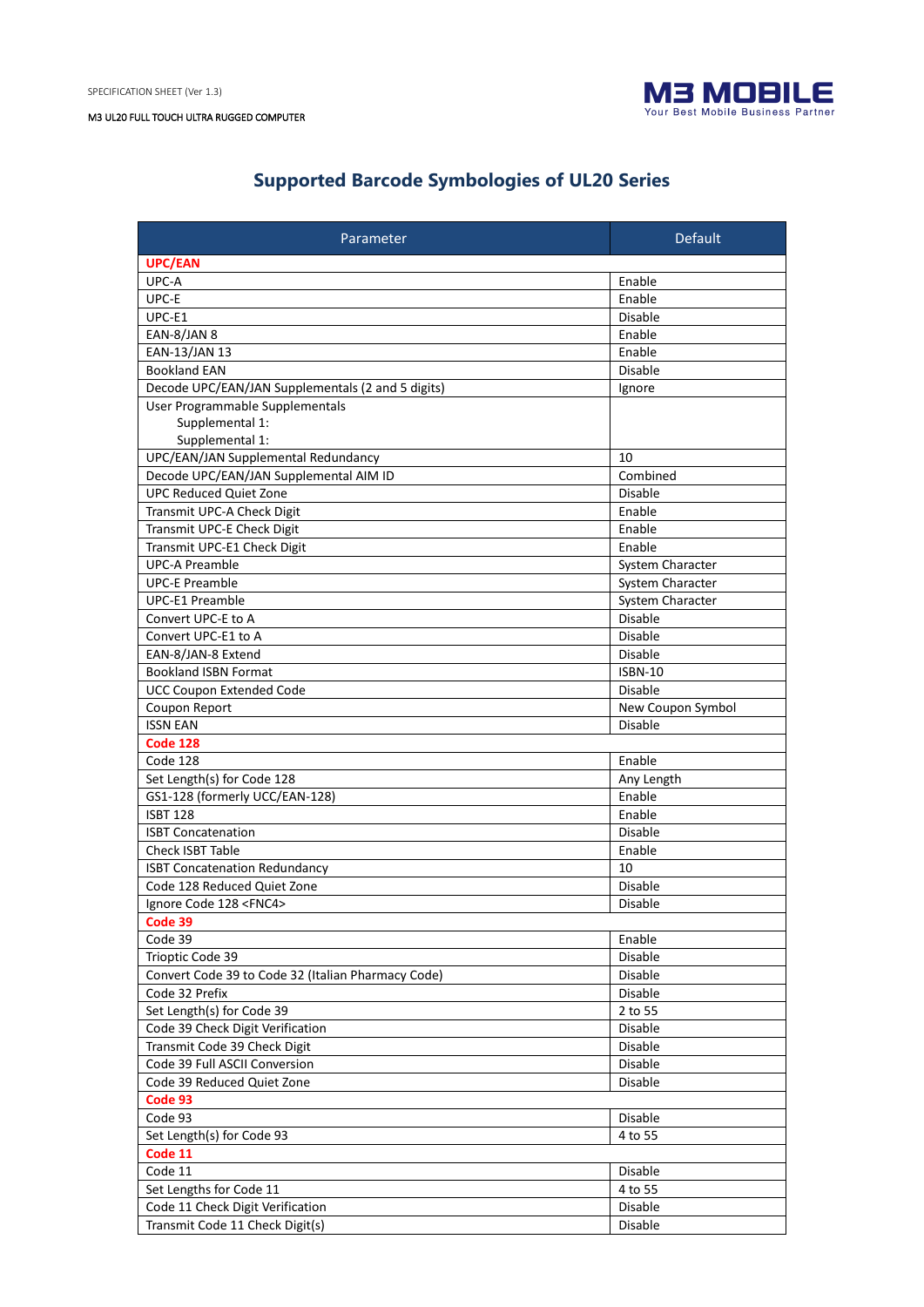

# **Supported Barcode Symbologies of UL20 Series**

| Parameter                                          | <b>Default</b>    |
|----------------------------------------------------|-------------------|
| <b>UPC/EAN</b>                                     |                   |
| UPC-A                                              | Enable            |
| UPC-E                                              | Enable            |
| UPC-E1                                             | <b>Disable</b>    |
| EAN-8/JAN 8                                        | Enable            |
| EAN-13/JAN 13                                      | Enable            |
| <b>Bookland EAN</b>                                | <b>Disable</b>    |
| Decode UPC/EAN/JAN Supplementals (2 and 5 digits)  | Ignore            |
| User Programmable Supplementals                    |                   |
| Supplemental 1:                                    |                   |
| Supplemental 1:                                    |                   |
| UPC/EAN/JAN Supplemental Redundancy                | 10                |
| Decode UPC/EAN/JAN Supplemental AIM ID             | Combined          |
| <b>UPC Reduced Quiet Zone</b>                      | <b>Disable</b>    |
| Transmit UPC-A Check Digit                         | Enable            |
| Transmit UPC-E Check Digit                         | Enable            |
| Transmit UPC-E1 Check Digit                        | Enable            |
| <b>UPC-A Preamble</b>                              | System Character  |
| <b>UPC-E Preamble</b>                              | System Character  |
| <b>UPC-E1 Preamble</b>                             | System Character  |
| Convert UPC-E to A                                 | Disable           |
| Convert UPC-E1 to A                                | <b>Disable</b>    |
| EAN-8/JAN-8 Extend                                 | Disable           |
| <b>Bookland ISBN Format</b>                        | <b>ISBN-10</b>    |
| <b>UCC Coupon Extended Code</b>                    | <b>Disable</b>    |
| Coupon Report                                      | New Coupon Symbol |
| <b>ISSN EAN</b>                                    | Disable           |
| <b>Code 128</b>                                    |                   |
| Code 128                                           | Enable            |
| Set Length(s) for Code 128                         | Any Length        |
| GS1-128 (formerly UCC/EAN-128)                     | Enable            |
| <b>ISBT 128</b>                                    | Enable            |
| <b>ISBT Concatenation</b>                          | <b>Disable</b>    |
| <b>Check ISBT Table</b>                            | Enable            |
| <b>ISBT Concatenation Redundancy</b>               | 10                |
| Code 128 Reduced Quiet Zone                        | <b>Disable</b>    |
| Ignore Code 128 <fnc4></fnc4>                      | <b>Disable</b>    |
| Code 39                                            |                   |
| Code 39                                            | Enable            |
| Trioptic Code 39                                   | Disable           |
| Convert Code 39 to Code 32 (Italian Pharmacy Code) | Disable           |
| Code 32 Prefix                                     | Disable           |
| Set Length(s) for Code 39                          | 2 to 55           |
| Code 39 Check Digit Verification                   | Disable           |
| Transmit Code 39 Check Digit                       | Disable           |
| Code 39 Full ASCII Conversion                      | Disable           |
| Code 39 Reduced Quiet Zone                         | Disable           |
| Code 93                                            |                   |
| Code 93                                            | Disable           |
| Set Length(s) for Code 93                          | 4 to 55           |
| Code 11                                            |                   |
| Code 11<br>Set Lengths for Code 11                 | Disable           |
|                                                    | 4 to 55           |
| Code 11 Check Digit Verification                   | Disable           |
| Transmit Code 11 Check Digit(s)                    | Disable           |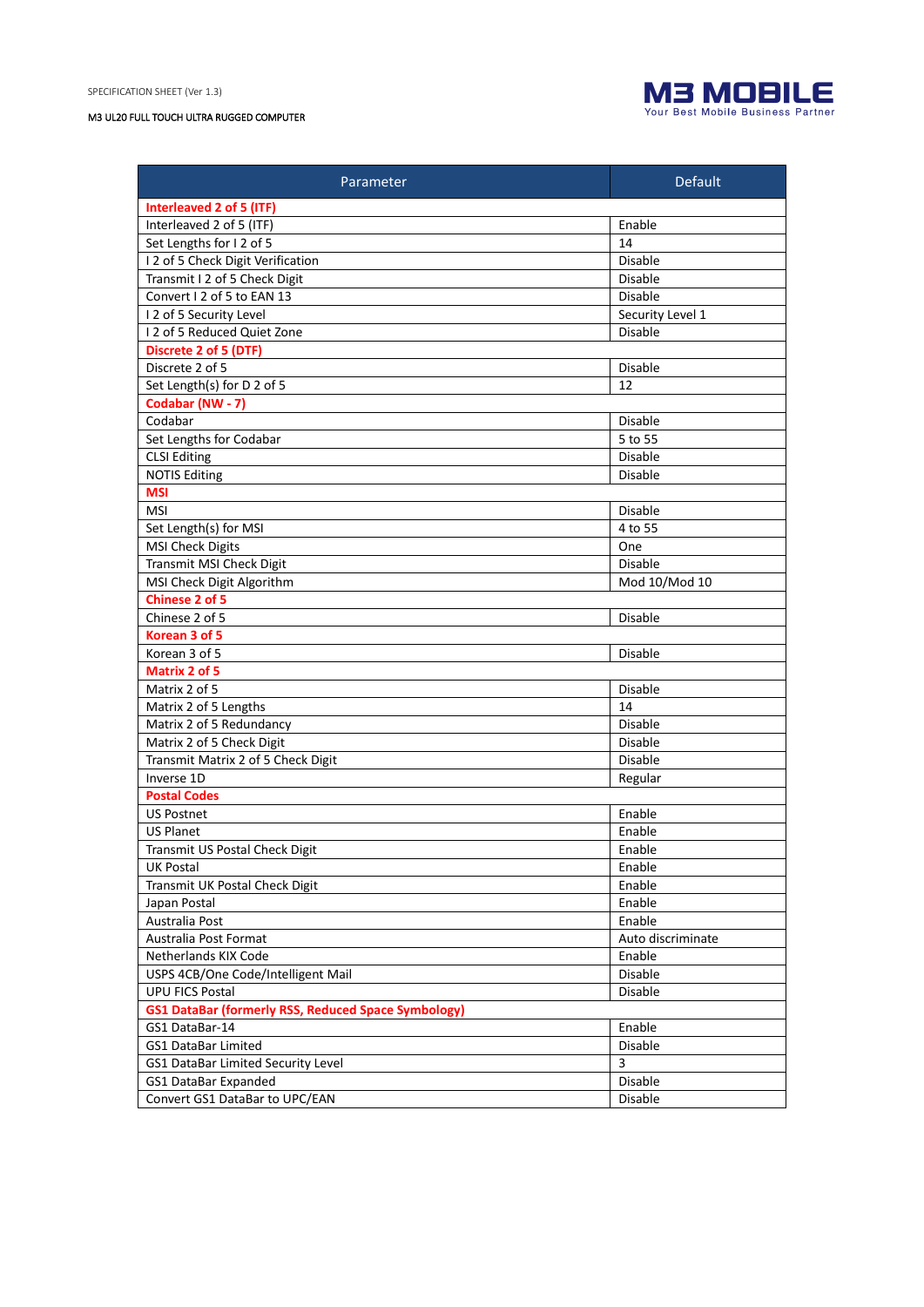

| Parameter                                                  | <b>Default</b>    |  |  |  |
|------------------------------------------------------------|-------------------|--|--|--|
| Interleaved 2 of 5 (ITF)                                   |                   |  |  |  |
| Interleaved 2 of 5 (ITF)                                   | Enable            |  |  |  |
| Set Lengths for I2 of 5                                    | 14                |  |  |  |
| I 2 of 5 Check Digit Verification                          | <b>Disable</b>    |  |  |  |
| Transmit I 2 of 5 Check Digit                              | <b>Disable</b>    |  |  |  |
| Convert I 2 of 5 to EAN 13                                 | Disable           |  |  |  |
| I 2 of 5 Security Level                                    | Security Level 1  |  |  |  |
| 12 of 5 Reduced Quiet Zone                                 | <b>Disable</b>    |  |  |  |
| Discrete 2 of 5 (DTF)                                      |                   |  |  |  |
| Discrete 2 of 5                                            | Disable           |  |  |  |
| Set Length(s) for D 2 of 5                                 | 12                |  |  |  |
| Codabar (NW - 7)                                           |                   |  |  |  |
| Codabar                                                    | Disable           |  |  |  |
| Set Lengths for Codabar                                    | 5 to 55           |  |  |  |
| <b>CLSI Editing</b>                                        | Disable           |  |  |  |
| <b>NOTIS Editing</b>                                       | Disable           |  |  |  |
| <b>MSI</b>                                                 |                   |  |  |  |
| <b>MSI</b>                                                 | Disable           |  |  |  |
| Set Length(s) for MSI                                      | 4 to 55           |  |  |  |
| <b>MSI Check Digits</b>                                    | One               |  |  |  |
| Transmit MSI Check Digit                                   | Disable           |  |  |  |
| MSI Check Digit Algorithm                                  | Mod 10/Mod 10     |  |  |  |
| <b>Chinese 2 of 5</b>                                      |                   |  |  |  |
| Chinese 2 of 5                                             | Disable           |  |  |  |
| Korean 3 of 5                                              |                   |  |  |  |
| Korean 3 of 5                                              | Disable           |  |  |  |
| Matrix 2 of 5                                              |                   |  |  |  |
| Matrix 2 of 5                                              | Disable           |  |  |  |
| Matrix 2 of 5 Lengths                                      | 14                |  |  |  |
| Matrix 2 of 5 Redundancy                                   | Disable           |  |  |  |
| Matrix 2 of 5 Check Digit                                  | <b>Disable</b>    |  |  |  |
| Transmit Matrix 2 of 5 Check Digit                         | Disable           |  |  |  |
| Inverse 1D                                                 | Regular           |  |  |  |
| <b>Postal Codes</b>                                        |                   |  |  |  |
| <b>US Postnet</b>                                          | Enable            |  |  |  |
| <b>US Planet</b>                                           | Enable            |  |  |  |
| Transmit US Postal Check Digit                             | Enable            |  |  |  |
| <b>UK Postal</b>                                           | Enable            |  |  |  |
| Transmit UK Postal Check Digit                             | Enable            |  |  |  |
| Japan Postal                                               | Enable            |  |  |  |
| Australia Post                                             | Enable            |  |  |  |
| Australia Post Format                                      | Auto discriminate |  |  |  |
| Netherlands KIX Code                                       | Enable            |  |  |  |
| USPS 4CB/One Code/Intelligent Mail                         |                   |  |  |  |
|                                                            | Disable           |  |  |  |
| <b>UPU FICS Postal</b>                                     | Disable           |  |  |  |
| <b>GS1 DataBar (formerly RSS, Reduced Space Symbology)</b> |                   |  |  |  |
| GS1 DataBar-14                                             | Enable            |  |  |  |
| <b>GS1 DataBar Limited</b>                                 | Disable           |  |  |  |
| <b>GS1 DataBar Limited Security Level</b>                  | 3                 |  |  |  |
| <b>GS1 DataBar Expanded</b>                                | Disable           |  |  |  |
| Convert GS1 DataBar to UPC/EAN                             | Disable           |  |  |  |